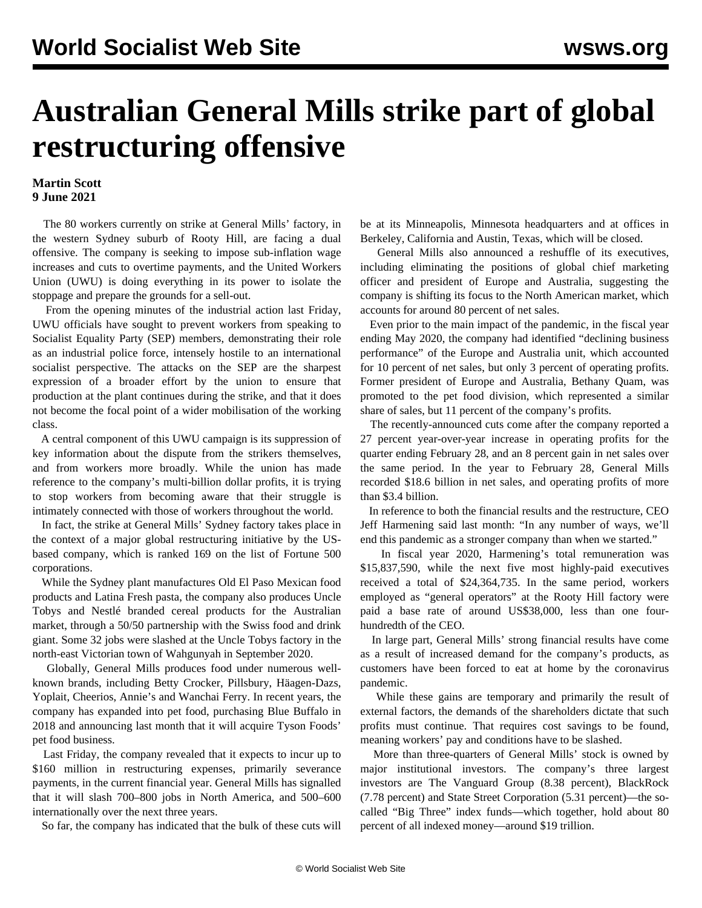## **Australian General Mills strike part of global restructuring offensive**

## **Martin Scott 9 June 2021**

 The 80 workers currently on strike at General Mills' factory, in the western Sydney suburb of Rooty Hill, are facing a dual offensive. The company is seeking to impose sub-inflation wage increases and cuts to overtime payments, and the United Workers Union (UWU) is doing everything in its power to isolate the stoppage and prepare the grounds for a sell-out.

 From the opening minutes of the industrial action last Friday, UWU officials have sought to prevent workers from speaking to Socialist Equality Party (SEP) members, demonstrating their role as an industrial police force, intensely hostile to an international socialist perspective. The attacks on the SEP are the sharpest expression of a broader effort by the union to ensure that production at the plant continues during the strike, and that it does not become the focal point of a wider mobilisation of the working class.

 A central component of this UWU campaign is its suppression of key information about the dispute from the strikers themselves, and from workers more broadly. While the union has made reference to the company's multi-billion dollar profits, it is trying to stop workers from becoming aware that their struggle is intimately connected with those of workers throughout the world.

 In fact, the strike at General Mills' Sydney factory takes place in the context of a major global restructuring initiative by the USbased company, which is ranked 169 on the list of Fortune 500 corporations.

 While the Sydney plant manufactures Old El Paso Mexican food products and Latina Fresh pasta, the company also produces Uncle Tobys and Nestlé branded cereal products for the Australian market, through a 50/50 partnership with the Swiss food and drink giant. Some 32 jobs were slashed at the Uncle Tobys factory in the north-east Victorian town of Wahgunyah in September 2020.

 Globally, General Mills produces food under numerous wellknown brands, including Betty Crocker, Pillsbury, Häagen-Dazs, Yoplait, Cheerios, Annie's and Wanchai Ferry. In recent years, the company has expanded into pet food, purchasing Blue Buffalo in 2018 and announcing last month that it will acquire Tyson Foods' pet food business.

 Last Friday, the company revealed that it expects to incur up to \$160 million in restructuring expenses, primarily severance payments, in the current financial year. General Mills has signalled that it will slash 700–800 jobs in North America, and 500–600 internationally over the next three years.

So far, the company has indicated that the bulk of these cuts will

be at its Minneapolis, Minnesota headquarters and at offices in Berkeley, California and Austin, Texas, which will be closed.

 General Mills also announced a reshuffle of its executives, including eliminating the positions of global chief marketing officer and president of Europe and Australia, suggesting the company is shifting its focus to the North American market, which accounts for around 80 percent of net sales.

 Even prior to the main impact of the pandemic, in the fiscal year ending May 2020, the company had identified "declining business performance" of the Europe and Australia unit, which accounted for 10 percent of net sales, but only 3 percent of operating profits. Former president of Europe and Australia, Bethany Quam, was promoted to the pet food division, which represented a similar share of sales, but 11 percent of the company's profits.

 The recently-announced cuts come after the company reported a 27 percent year-over-year increase in operating profits for the quarter ending February 28, and an 8 percent gain in net sales over the same period. In the year to February 28, General Mills recorded \$18.6 billion in net sales, and operating profits of more than \$3.4 billion.

 In reference to both the financial results and the restructure, CEO Jeff Harmening said last month: "In any number of ways, we'll end this pandemic as a stronger company than when we started."

 In fiscal year 2020, Harmening's total remuneration was \$15,837,590, while the next five most highly-paid executives received a total of \$24,364,735. In the same period, workers employed as "general operators" at the Rooty Hill factory were paid a base rate of around US\$38,000, less than one fourhundredth of the CEO.

 In large part, General Mills' strong financial results have come as a result of increased demand for the company's products, as customers have been forced to eat at home by the coronavirus pandemic.

 While these gains are temporary and primarily the result of external factors, the demands of the shareholders dictate that such profits must continue. That requires cost savings to be found, meaning workers' pay and conditions have to be slashed.

 More than three-quarters of General Mills' stock is owned by major institutional investors. The company's three largest investors are The Vanguard Group (8.38 percent), BlackRock (7.78 percent) and State Street Corporation (5.31 percent)—the socalled "Big Three" index funds—which together, hold about 80 percent of all indexed money—around \$19 trillion.